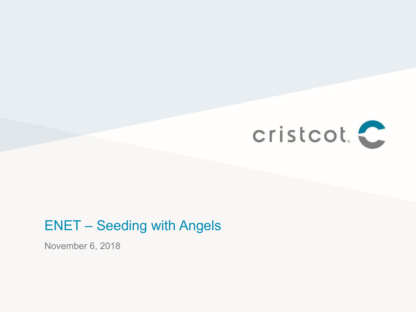

#### ENET – Seeding with Angels

November 6, 2018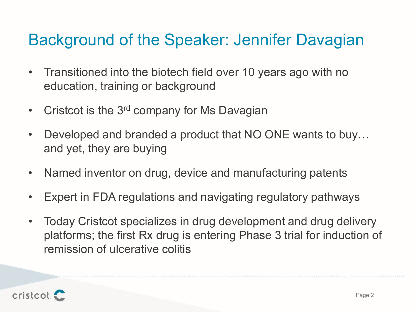### Background of the Speaker: Jennifer Davagian

- Transitioned into the biotech field over 10 years ago with no education, training or background
- Cristcot is the 3<sup>rd</sup> company for Ms Davagian
- Developed and branded a product that NO ONE wants to buy… and yet, they are buying
- Named inventor on drug, device and manufacturing patents
- Expert in FDA regulations and navigating regulatory pathways
- Today Cristcot specializes in drug development and drug delivery platforms; the first Rx drug is entering Phase 3 trial for induction of remission of ulcerative colitis

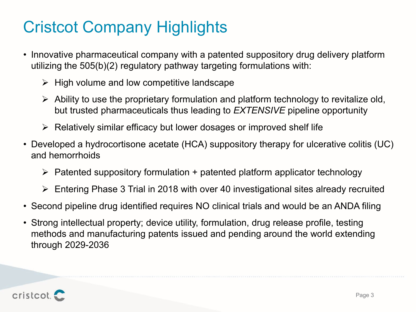### Cristcot Company Highlights

- Innovative pharmaceutical company with a patented suppository drug delivery platform utilizing the 505(b)(2) regulatory pathway targeting formulations with:
	- $\triangleright$  High volume and low competitive landscape
	- $\triangleright$  Ability to use the proprietary formulation and platform technology to revitalize old, but trusted pharmaceuticals thus leading to *EXTENSIVE* pipeline opportunity
	- $\triangleright$  Relatively similar efficacy but lower dosages or improved shelf life
- Developed a hydrocortisone acetate (HCA) suppository therapy for ulcerative colitis (UC) and hemorrhoids
	- $\triangleright$  Patented suppository formulation + patented platform applicator technology
	- Entering Phase 3 Trial in 2018 with over 40 investigational sites already recruited
- Second pipeline drug identified requires NO clinical trials and would be an ANDA filing
- Strong intellectual property; device utility, formulation, drug release profile, testing methods and manufacturing patents issued and pending around the world extending through 2029-2036

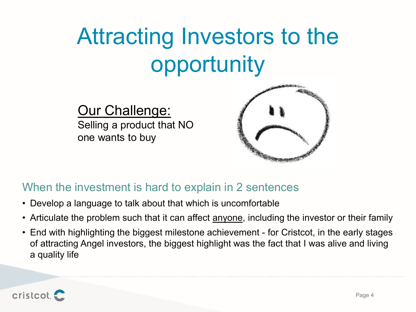# Attracting Investors to the opportunity

#### Our Challenge:

Selling a product that NO one wants to buy



#### When the investment is hard to explain in 2 sentences

- Develop a language to talk about that which is uncomfortable
- Articulate the problem such that it can affect **anyone**, including the investor or their family
- End with highlighting the biggest milestone achievement for Cristcot, in the early stages of attracting Angel investors, the biggest highlight was the fact that I was alive and living a quality life

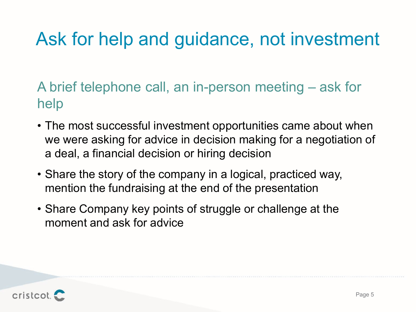## Ask for help and guidance, not investment

A brief telephone call, an in-person meeting – ask for help

- The most successful investment opportunities came about when we were asking for advice in decision making for a negotiation of a deal, a financial decision or hiring decision
- Share the story of the company in a logical, practiced way, mention the fundraising at the end of the presentation
- Share Company key points of struggle or challenge at the moment and ask for advice

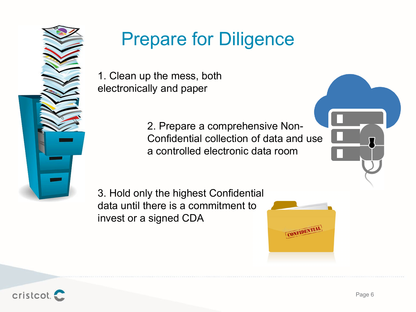

# Prepare for Diligence

1. Clean up the mess, both electronically and paper

> 2. Prepare a comprehensive Non-Confidential collection of data and use a controlled electronic data room

3. Hold only the highest Confidential data until there is a commitment to invest or a signed CDA



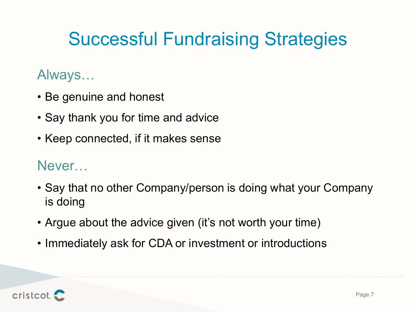# Successful Fundraising Strategies

### Always…

- Be genuine and honest
- Say thank you for time and advice
- Keep connected, if it makes sense

#### Never…

- Say that no other Company/person is doing what your Company is doing
- Argue about the advice given (it's not worth your time)
- Immediately ask for CDA or investment or introductions

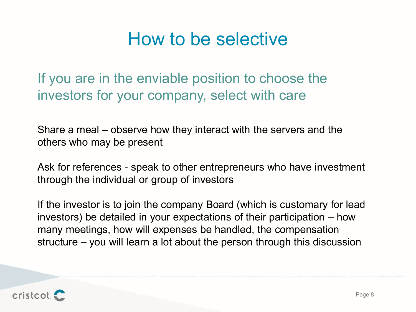### How to be selective

If you are in the enviable position to choose the investors for your company, select with care

Share a meal – observe how they interact with the servers and the others who may be present

Ask for references - speak to other entrepreneurs who have investment through the individual or group of investors

If the investor is to join the company Board (which is customary for lead investors) be detailed in your expectations of their participation – how many meetings, how will expenses be handled, the compensation structure – you will learn a lot about the person through this discussion

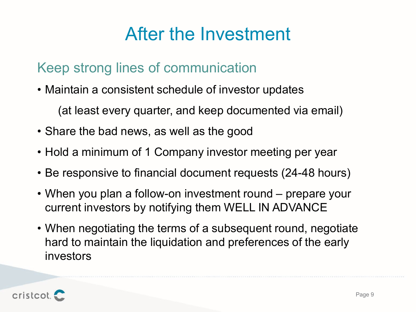### After the Investment

### Keep strong lines of communication

• Maintain a consistent schedule of investor updates

(at least every quarter, and keep documented via email)

- Share the bad news, as well as the good
- Hold a minimum of 1 Company investor meeting per year
- Be responsive to financial document requests (24-48 hours)
- When you plan a follow-on investment round prepare your current investors by notifying them WELL IN ADVANCE
- When negotiating the terms of a subsequent round, negotiate hard to maintain the liquidation and preferences of the early investors